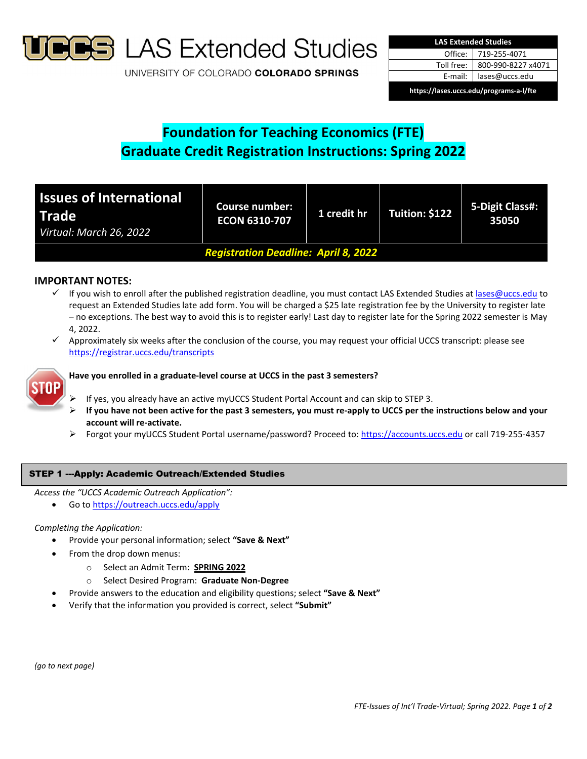

**S** LAS Extended Studies

UNIVERSITY OF COLORADO COLORADO SPRINGS

| <b>LAS Extended Studies</b>             |                    |  |  |  |
|-----------------------------------------|--------------------|--|--|--|
| Office: I                               | 719-255-4071       |  |  |  |
| Toll free:                              | 800-990-8227 x4071 |  |  |  |
| E-mail: I                               | lases@uccs.edu     |  |  |  |
| https://lases.uccs.edu/programs-a-l/fte |                    |  |  |  |

# **Foundation for Teaching Economics (FTE) Graduate Credit Registration Instructions: Spring 2022**

| <b>Issues of International</b><br><b>Trade</b><br>Virtual: March 26, 2022 | <b>Course number:</b><br><b>ECON 6310-707</b> | 1 credit hr | Tuition: \$122 | 5-Digit Class#:<br>35050 |  |
|---------------------------------------------------------------------------|-----------------------------------------------|-------------|----------------|--------------------------|--|
| <b>Registration Deadline: April 8, 2022</b>                               |                                               |             |                |                          |  |

# **IMPORTANT NOTES:**

- $\checkmark$  If you wish to enroll after the published registration deadline, you must contact LAS Extended Studies at lases@uccs.edu to request an Extended Studies late add form. You will be charged a \$25 late registration fee by the University to register late – no exceptions. The best way to avoid this is to register early! Last day to register late for the Spring 2022 semester is May 4, 2022.
- $\checkmark$  Approximately six weeks after the conclusion of the course, you may request your official UCCS transcript: please see https://registrar.uccs.edu/transcripts



## **Have you enrolled in a graduate‐level course at UCCS in the past 3 semesters?**

- If yes, you already have an active myUCCS Student Portal Account and can skip to STEP 3.
- If you have not been active for the past 3 semesters, you must re-apply to UCCS per the instructions below and your **account will re‐activate.**
- Forgot your myUCCS Student Portal username/password? Proceed to: https://accounts.uccs.edu or call 719‐255‐4357

## STEP 1 ---Apply: Academic Outreach/Extended Studies

*Access the "UCCS Academic Outreach Application":*

Go to https://outreach.uccs.edu/apply

## *Completing the Application:*

- Provide your personal information; select **"Save & Next"**
- From the drop down menus:
	- o Select an Admit Term: **SPRING 2022**
	- o Select Desired Program: **Graduate Non‐Degree**
- Provide answers to the education and eligibility questions; select **"Save & Next"**
- Verify that the information you provided is correct, select **"Submit"**

*(go to next page)*